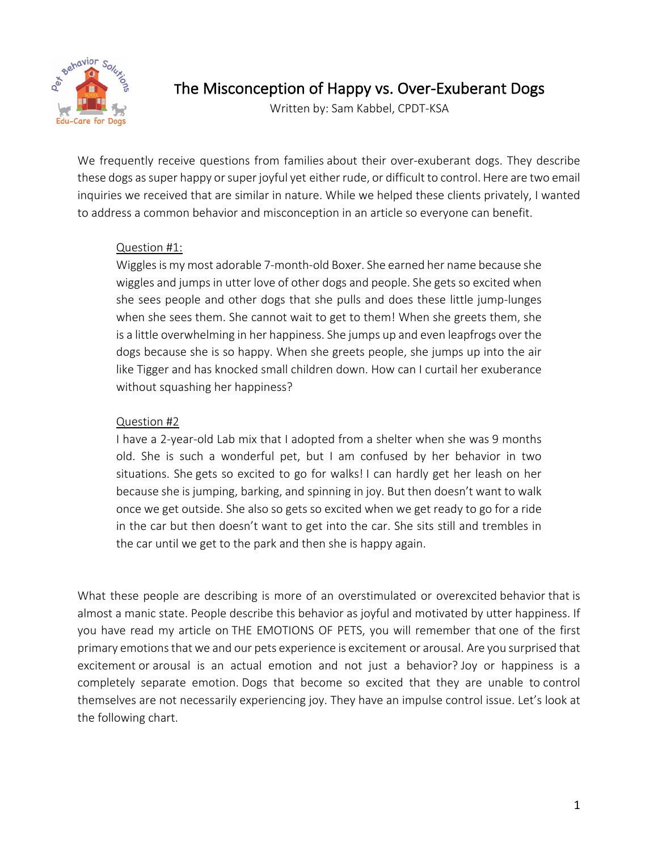

The Misconception of Happy vs. Over-Exuberant Dogs

Written by: Sam Kabbel, CPDT-KSA

We frequently receive questions from families about their over-exuberant dogs. They describe these dogs as super happy or super joyful yet either rude, or difficult to control. Here are two email inquiries we received that are similar in nature. While we helped these clients privately, I wanted to address a common behavior and misconception in an article so everyone can benefit.

## Question #1:

Wiggles is my most adorable 7-month-old Boxer. She earned her name because she wiggles and jumps in utter love of other dogs and people. She gets so excited when she sees people and other dogs that she pulls and does these little jump-lunges when she sees them. She cannot wait to get to them! When she greets them, she is a little overwhelming in her happiness. She jumps up and even leapfrogs over the dogs because she is so happy. When she greets people, she jumps up into the air like Tigger and has knocked small children down. How can I curtail her exuberance without squashing her happiness?

## Question #2

I have a 2-year-old Lab mix that I adopted from a shelter when she was 9 months old. She is such a wonderful pet, but I am confused by her behavior in two situations. She gets so excited to go for walks! I can hardly get her leash on her because she is jumping, barking, and spinning in joy. But then doesn't want to walk once we get outside. She also so gets so excited when we get ready to go for a ride in the car but then doesn't want to get into the car. She sits still and trembles in the car until we get to the park and then she is happy again.

What these people are describing is more of an overstimulated or overexcited behavior that is almost a manic state. People describe this behavior as joyful and motivated by utter happiness. If you have read my article on THE EMOTIONS OF PETS, you will remember that one of the first primary emotions that we and our pets experience is excitement or arousal. Are you surprised that excitement or arousal is an actual emotion and not just a behavior? Joy or happiness is a completely separate emotion. Dogs that become so excited that they are unable to control themselves are not necessarily experiencing joy. They have an impulse control issue. Let's look at the following chart.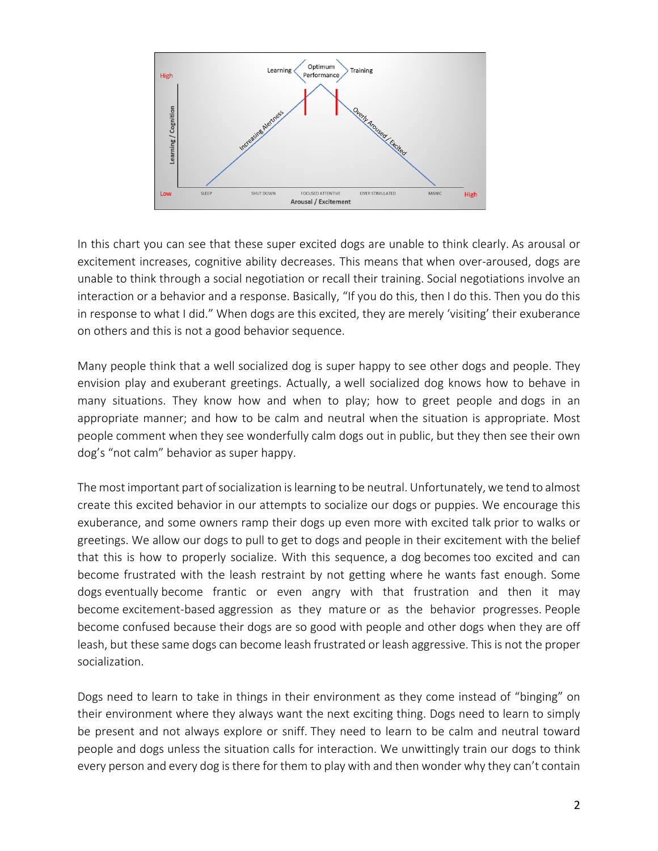

In this chart you can see that these super excited dogs are unable to think clearly. As arousal or excitement increases, cognitive ability decreases. This means that when over-aroused, dogs are unable to think through a social negotiation or recall their training. Social negotiations involve an interaction or a behavior and a response. Basically, "If you do this, then I do this. Then you do this in response to what I did." When dogs are this excited, they are merely 'visiting' their exuberance on others and this is not a good behavior sequence.

Many people think that a well socialized dog is super happy to see other dogs and people. They envision play and exuberant greetings. Actually, a well socialized dog knows how to behave in many situations. They know how and when to play; how to greet people and dogs in an appropriate manner; and how to be calm and neutral when the situation is appropriate. Most people comment when they see wonderfully calm dogs out in public, but they then see their own dog's "not calm" behavior as super happy.

The most important part of socialization is learning to be neutral. Unfortunately, we tend to almost create this excited behavior in our attempts to socialize our dogs or puppies. We encourage this exuberance, and some owners ramp their dogs up even more with excited talk prior to walks or greetings. We allow our dogs to pull to get to dogs and people in their excitement with the belief that this is how to properly socialize. With this sequence, a dog becomes too excited and can become frustrated with the leash restraint by not getting where he wants fast enough. Some dogs eventually become frantic or even angry with that frustration and then it may become excitement-based aggression as they mature or as the behavior progresses. People become confused because their dogs are so good with people and other dogs when they are off leash, but these same dogs can become leash frustrated or leash aggressive. This is not the proper socialization.

Dogs need to learn to take in things in their environment as they come instead of "binging" on their environment where they always want the next exciting thing. Dogs need to learn to simply be present and not always explore or sniff. They need to learn to be calm and neutral toward people and dogs unless the situation calls for interaction. We unwittingly train our dogs to think every person and every dog is there for them to play with and then wonder why they can't contain